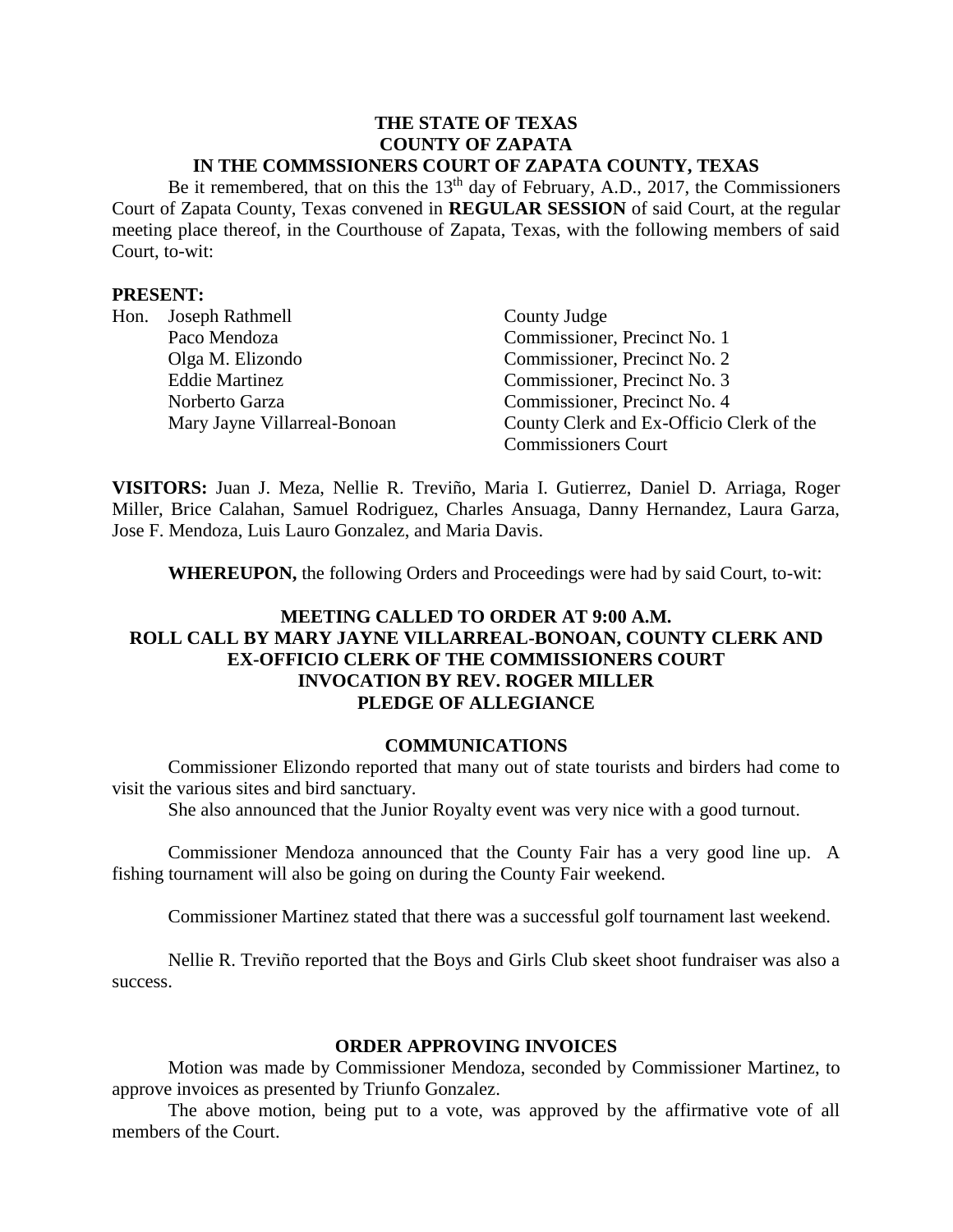#### **THE STATE OF TEXAS COUNTY OF ZAPATA IN THE COMMSSIONERS COURT OF ZAPATA COUNTY, TEXAS**

Be it remembered, that on this the  $13<sup>th</sup>$  day of February, A.D., 2017, the Commissioners Court of Zapata County, Texas convened in **REGULAR SESSION** of said Court, at the regular meeting place thereof, in the Courthouse of Zapata, Texas, with the following members of said Court, to-wit:

### **PRESENT:**

| Hon. | Joseph Rathmell              | County Judge                             |
|------|------------------------------|------------------------------------------|
|      | Paco Mendoza                 | Commissioner, Precinct No. 1             |
|      | Olga M. Elizondo             | Commissioner, Precinct No. 2             |
|      | <b>Eddie Martinez</b>        | Commissioner, Precinct No. 3             |
|      | Norberto Garza               | Commissioner, Precinct No. 4             |
|      | Mary Jayne Villarreal-Bonoan | County Clerk and Ex-Officio Clerk of the |
|      |                              | <b>Commissioners Court</b>               |

**VISITORS:** Juan J. Meza, Nellie R. Treviño, Maria I. Gutierrez, Daniel D. Arriaga, Roger Miller, Brice Calahan, Samuel Rodriguez, Charles Ansuaga, Danny Hernandez, Laura Garza, Jose F. Mendoza, Luis Lauro Gonzalez, and Maria Davis.

**WHEREUPON,** the following Orders and Proceedings were had by said Court, to-wit:

# **MEETING CALLED TO ORDER AT 9:00 A.M. ROLL CALL BY MARY JAYNE VILLARREAL-BONOAN, COUNTY CLERK AND EX-OFFICIO CLERK OF THE COMMISSIONERS COURT INVOCATION BY REV. ROGER MILLER PLEDGE OF ALLEGIANCE**

#### **COMMUNICATIONS**

Commissioner Elizondo reported that many out of state tourists and birders had come to visit the various sites and bird sanctuary.

She also announced that the Junior Royalty event was very nice with a good turnout.

Commissioner Mendoza announced that the County Fair has a very good line up. A fishing tournament will also be going on during the County Fair weekend.

Commissioner Martinez stated that there was a successful golf tournament last weekend.

Nellie R. Treviño reported that the Boys and Girls Club skeet shoot fundraiser was also a success.

### **ORDER APPROVING INVOICES**

Motion was made by Commissioner Mendoza, seconded by Commissioner Martinez, to approve invoices as presented by Triunfo Gonzalez.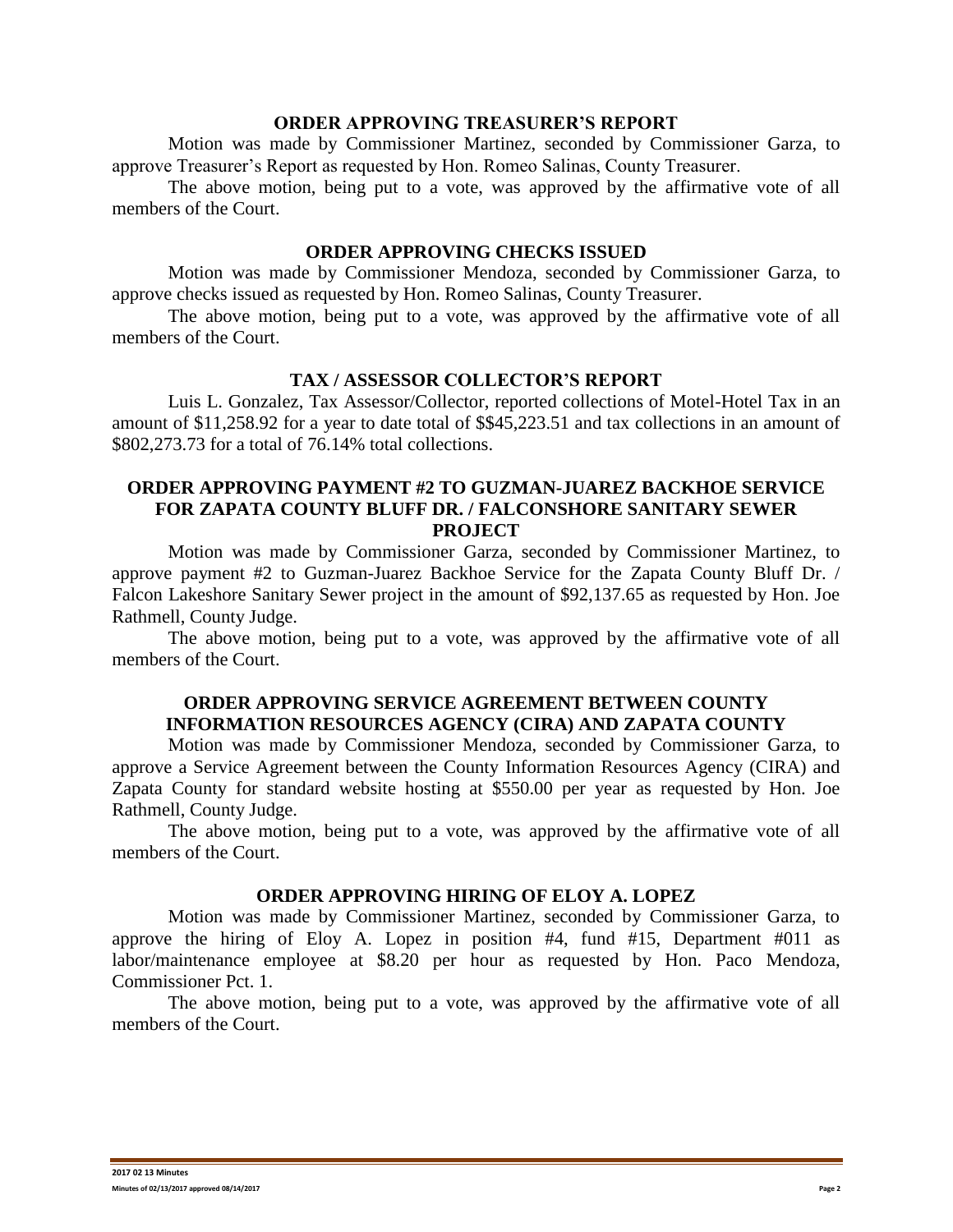#### **ORDER APPROVING TREASURER'S REPORT**

Motion was made by Commissioner Martinez, seconded by Commissioner Garza, to approve Treasurer's Report as requested by Hon. Romeo Salinas, County Treasurer.

The above motion, being put to a vote, was approved by the affirmative vote of all members of the Court.

#### **ORDER APPROVING CHECKS ISSUED**

Motion was made by Commissioner Mendoza, seconded by Commissioner Garza, to approve checks issued as requested by Hon. Romeo Salinas, County Treasurer.

The above motion, being put to a vote, was approved by the affirmative vote of all members of the Court.

#### **TAX / ASSESSOR COLLECTOR'S REPORT**

Luis L. Gonzalez, Tax Assessor/Collector, reported collections of Motel-Hotel Tax in an amount of \$11,258.92 for a year to date total of \$\$45,223.51 and tax collections in an amount of \$802,273.73 for a total of 76.14% total collections.

#### **ORDER APPROVING PAYMENT #2 TO GUZMAN-JUAREZ BACKHOE SERVICE FOR ZAPATA COUNTY BLUFF DR. / FALCONSHORE SANITARY SEWER PROJECT**

Motion was made by Commissioner Garza, seconded by Commissioner Martinez, to approve payment #2 to Guzman-Juarez Backhoe Service for the Zapata County Bluff Dr. / Falcon Lakeshore Sanitary Sewer project in the amount of \$92,137.65 as requested by Hon. Joe Rathmell, County Judge.

The above motion, being put to a vote, was approved by the affirmative vote of all members of the Court.

# **ORDER APPROVING SERVICE AGREEMENT BETWEEN COUNTY INFORMATION RESOURCES AGENCY (CIRA) AND ZAPATA COUNTY**

Motion was made by Commissioner Mendoza, seconded by Commissioner Garza, to approve a Service Agreement between the County Information Resources Agency (CIRA) and Zapata County for standard website hosting at \$550.00 per year as requested by Hon. Joe Rathmell, County Judge.

The above motion, being put to a vote, was approved by the affirmative vote of all members of the Court.

#### **ORDER APPROVING HIRING OF ELOY A. LOPEZ**

Motion was made by Commissioner Martinez, seconded by Commissioner Garza, to approve the hiring of Eloy A. Lopez in position #4, fund #15, Department #011 as labor/maintenance employee at \$8.20 per hour as requested by Hon. Paco Mendoza, Commissioner Pct. 1.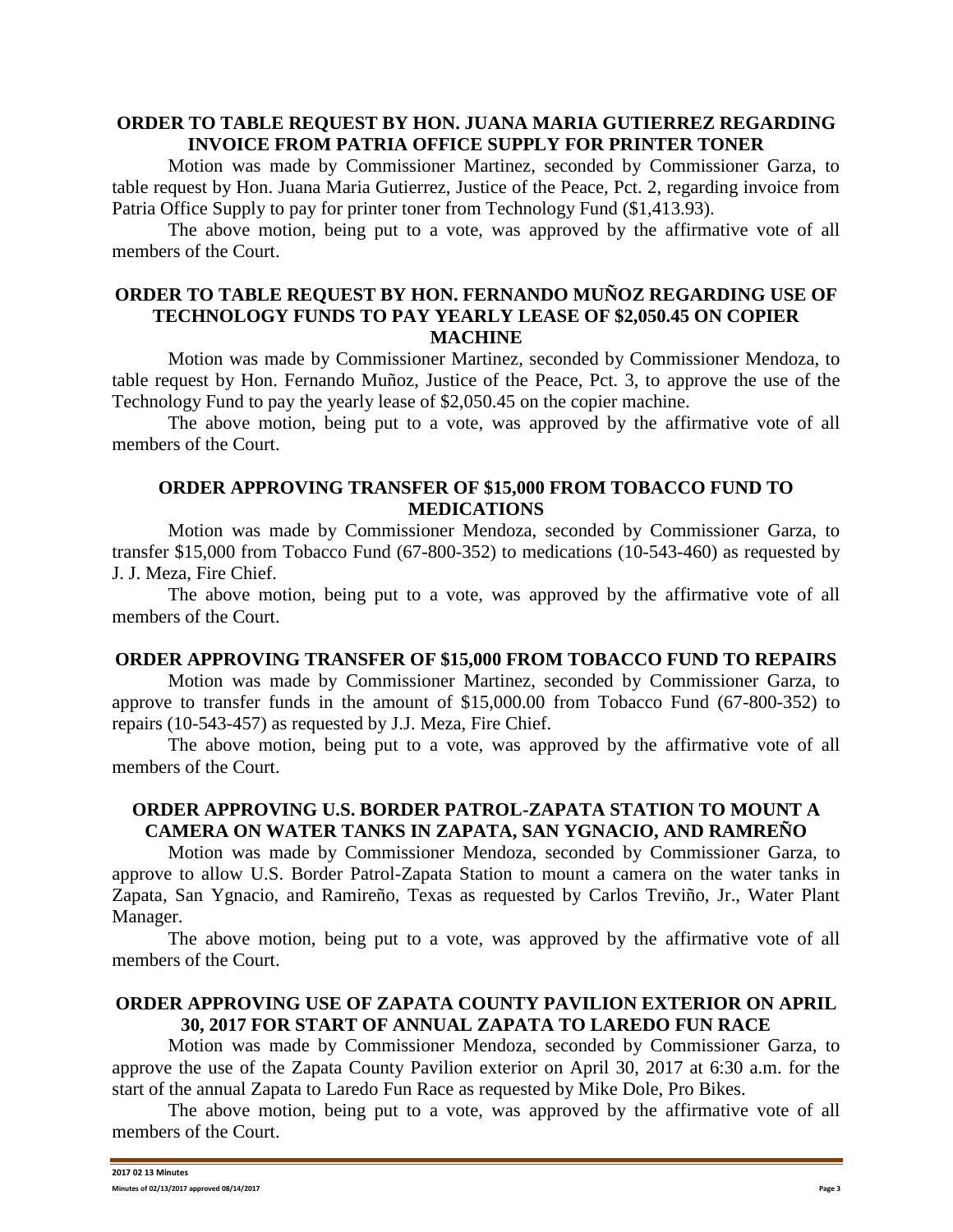### **ORDER TO TABLE REQUEST BY HON. JUANA MARIA GUTIERREZ REGARDING INVOICE FROM PATRIA OFFICE SUPPLY FOR PRINTER TONER**

Motion was made by Commissioner Martinez, seconded by Commissioner Garza, to table request by Hon. Juana Maria Gutierrez, Justice of the Peace, Pct. 2, regarding invoice from Patria Office Supply to pay for printer toner from Technology Fund (\$1,413.93).

The above motion, being put to a vote, was approved by the affirmative vote of all members of the Court.

## **ORDER TO TABLE REQUEST BY HON. FERNANDO MUÑOZ REGARDING USE OF TECHNOLOGY FUNDS TO PAY YEARLY LEASE OF \$2,050.45 ON COPIER MACHINE**

Motion was made by Commissioner Martinez, seconded by Commissioner Mendoza, to table request by Hon. Fernando Muñoz, Justice of the Peace, Pct. 3, to approve the use of the Technology Fund to pay the yearly lease of \$2,050.45 on the copier machine.

The above motion, being put to a vote, was approved by the affirmative vote of all members of the Court.

## **ORDER APPROVING TRANSFER OF \$15,000 FROM TOBACCO FUND TO MEDICATIONS**

Motion was made by Commissioner Mendoza, seconded by Commissioner Garza, to transfer \$15,000 from Tobacco Fund (67-800-352) to medications (10-543-460) as requested by J. J. Meza, Fire Chief.

The above motion, being put to a vote, was approved by the affirmative vote of all members of the Court.

### **ORDER APPROVING TRANSFER OF \$15,000 FROM TOBACCO FUND TO REPAIRS**

Motion was made by Commissioner Martinez, seconded by Commissioner Garza, to approve to transfer funds in the amount of \$15,000.00 from Tobacco Fund (67-800-352) to repairs (10-543-457) as requested by J.J. Meza, Fire Chief.

The above motion, being put to a vote, was approved by the affirmative vote of all members of the Court.

# **ORDER APPROVING U.S. BORDER PATROL-ZAPATA STATION TO MOUNT A CAMERA ON WATER TANKS IN ZAPATA, SAN YGNACIO, AND RAMREÑO**

Motion was made by Commissioner Mendoza, seconded by Commissioner Garza, to approve to allow U.S. Border Patrol-Zapata Station to mount a camera on the water tanks in Zapata, San Ygnacio, and Ramireño, Texas as requested by Carlos Treviño, Jr., Water Plant Manager.

The above motion, being put to a vote, was approved by the affirmative vote of all members of the Court.

# **ORDER APPROVING USE OF ZAPATA COUNTY PAVILION EXTERIOR ON APRIL 30, 2017 FOR START OF ANNUAL ZAPATA TO LAREDO FUN RACE**

Motion was made by Commissioner Mendoza, seconded by Commissioner Garza, to approve the use of the Zapata County Pavilion exterior on April 30, 2017 at 6:30 a.m. for the start of the annual Zapata to Laredo Fun Race as requested by Mike Dole, Pro Bikes.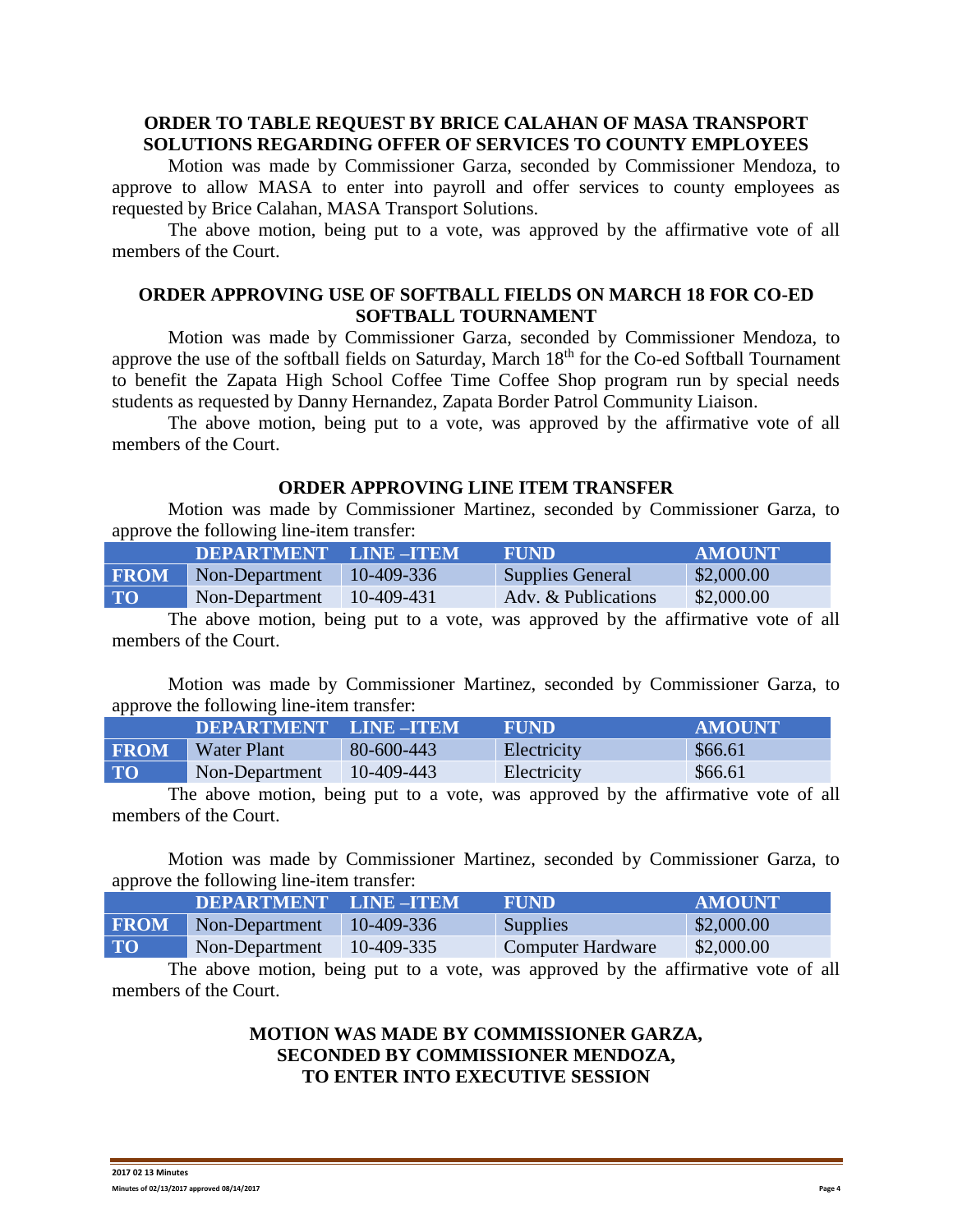## **ORDER TO TABLE REQUEST BY BRICE CALAHAN OF MASA TRANSPORT SOLUTIONS REGARDING OFFER OF SERVICES TO COUNTY EMPLOYEES**

Motion was made by Commissioner Garza, seconded by Commissioner Mendoza, to approve to allow MASA to enter into payroll and offer services to county employees as requested by Brice Calahan, MASA Transport Solutions.

The above motion, being put to a vote, was approved by the affirmative vote of all members of the Court.

# **ORDER APPROVING USE OF SOFTBALL FIELDS ON MARCH 18 FOR CO-ED SOFTBALL TOURNAMENT**

Motion was made by Commissioner Garza, seconded by Commissioner Mendoza, to approve the use of the softball fields on Saturday, March 18<sup>th</sup> for the Co-ed Softball Tournament to benefit the Zapata High School Coffee Time Coffee Shop program run by special needs students as requested by Danny Hernandez, Zapata Border Patrol Community Liaison.

The above motion, being put to a vote, was approved by the affirmative vote of all members of the Court.

### **ORDER APPROVING LINE ITEM TRANSFER**

Motion was made by Commissioner Martinez, seconded by Commissioner Garza, to approve the following line-item transfer:

|             | DEPARTMENT LINE-ITEM |            | FUND.                   | AMOUNT     |
|-------------|----------------------|------------|-------------------------|------------|
| <b>FROM</b> | Non-Department       | 10-409-336 | <b>Supplies General</b> | \$2,000.00 |
| <b>TO</b>   | Non-Department       | 10-409-431 | Adv. & Publications     | \$2,000.00 |

The above motion, being put to a vote, was approved by the affirmative vote of all members of the Court.

Motion was made by Commissioner Martinez, seconded by Commissioner Garza, to approve the following line-item transfer:

|             | DEPARTMENT LINE-ITEM |            | <b>FUND</b> | <b>AMOUNT</b> |
|-------------|----------------------|------------|-------------|---------------|
| <b>FROM</b> | Water Plant          | 80-600-443 | Electricity | \$66.61       |
| <b>TO</b>   | Non-Department       | 10-409-443 | Electricity | \$66.61       |

The above motion, being put to a vote, was approved by the affirmative vote of all members of the Court.

Motion was made by Commissioner Martinez, seconded by Commissioner Garza, to approve the following line-item transfer:

|             | <b>DEPARTMENT LINE-ITEM</b> |            | <b>FUND</b>       | <b>AMOUNT</b> |
|-------------|-----------------------------|------------|-------------------|---------------|
| <b>FROM</b> | Non-Department              | 10-409-336 | <b>Supplies</b>   | \$2,000.00    |
| <b>TO</b>   | Non-Department              | 10-409-335 | Computer Hardware | \$2,000.00    |

The above motion, being put to a vote, was approved by the affirmative vote of all members of the Court.

# **MOTION WAS MADE BY COMMISSIONER GARZA, SECONDED BY COMMISSIONER MENDOZA, TO ENTER INTO EXECUTIVE SESSION**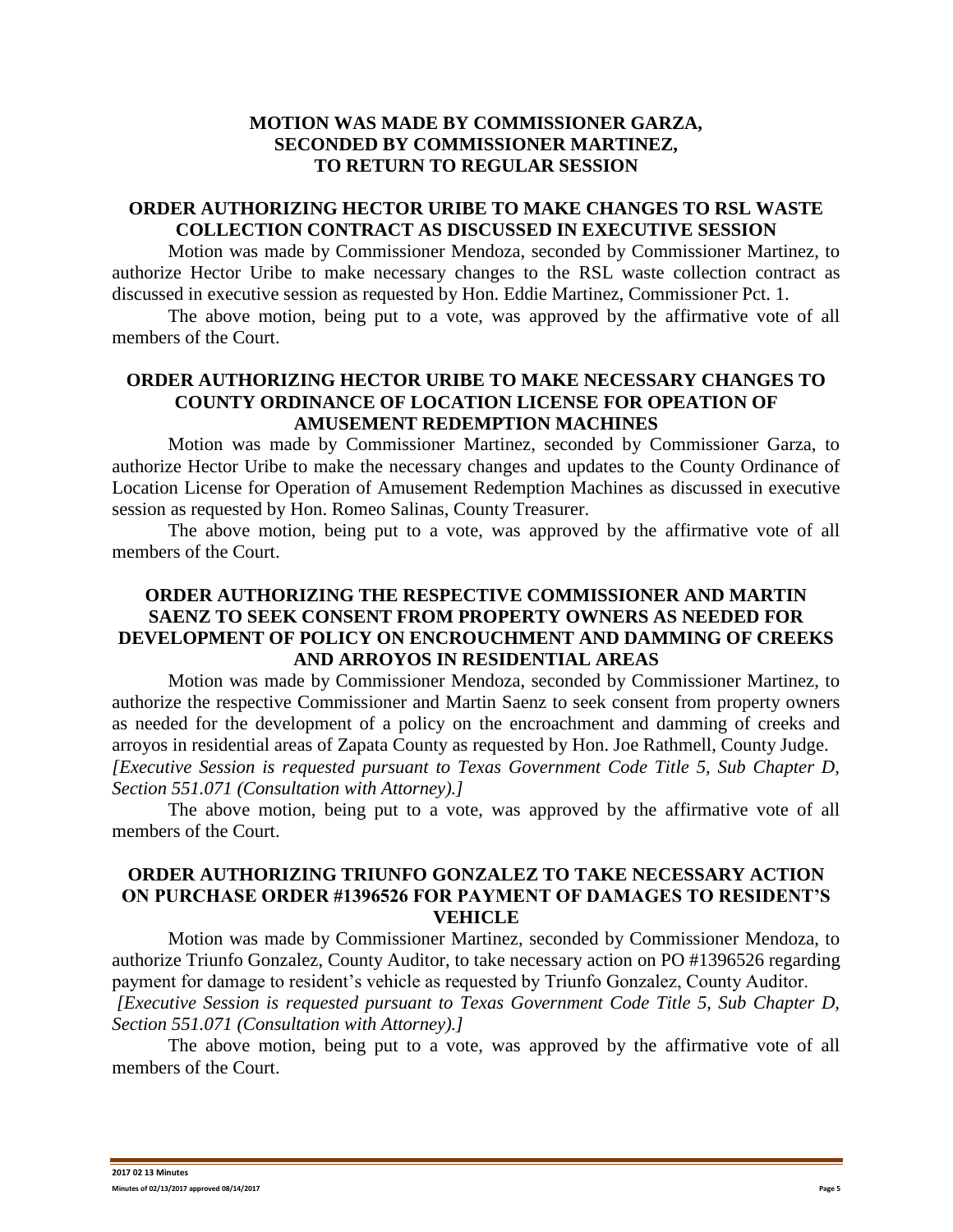# **MOTION WAS MADE BY COMMISSIONER GARZA, SECONDED BY COMMISSIONER MARTINEZ, TO RETURN TO REGULAR SESSION**

# **ORDER AUTHORIZING HECTOR URIBE TO MAKE CHANGES TO RSL WASTE COLLECTION CONTRACT AS DISCUSSED IN EXECUTIVE SESSION**

Motion was made by Commissioner Mendoza, seconded by Commissioner Martinez, to authorize Hector Uribe to make necessary changes to the RSL waste collection contract as discussed in executive session as requested by Hon. Eddie Martinez, Commissioner Pct. 1.

The above motion, being put to a vote, was approved by the affirmative vote of all members of the Court.

#### **ORDER AUTHORIZING HECTOR URIBE TO MAKE NECESSARY CHANGES TO COUNTY ORDINANCE OF LOCATION LICENSE FOR OPEATION OF AMUSEMENT REDEMPTION MACHINES**

Motion was made by Commissioner Martinez, seconded by Commissioner Garza, to authorize Hector Uribe to make the necessary changes and updates to the County Ordinance of Location License for Operation of Amusement Redemption Machines as discussed in executive session as requested by Hon. Romeo Salinas, County Treasurer.

The above motion, being put to a vote, was approved by the affirmative vote of all members of the Court.

## **ORDER AUTHORIZING THE RESPECTIVE COMMISSIONER AND MARTIN SAENZ TO SEEK CONSENT FROM PROPERTY OWNERS AS NEEDED FOR DEVELOPMENT OF POLICY ON ENCROUCHMENT AND DAMMING OF CREEKS AND ARROYOS IN RESIDENTIAL AREAS**

Motion was made by Commissioner Mendoza, seconded by Commissioner Martinez, to authorize the respective Commissioner and Martin Saenz to seek consent from property owners as needed for the development of a policy on the encroachment and damming of creeks and arroyos in residential areas of Zapata County as requested by Hon. Joe Rathmell, County Judge. *[Executive Session is requested pursuant to Texas Government Code Title 5, Sub Chapter D, Section 551.071 (Consultation with Attorney).]*

The above motion, being put to a vote, was approved by the affirmative vote of all members of the Court.

# **ORDER AUTHORIZING TRIUNFO GONZALEZ TO TAKE NECESSARY ACTION ON PURCHASE ORDER #1396526 FOR PAYMENT OF DAMAGES TO RESIDENT'S VEHICLE**

Motion was made by Commissioner Martinez, seconded by Commissioner Mendoza, to authorize Triunfo Gonzalez, County Auditor, to take necessary action on PO #1396526 regarding payment for damage to resident's vehicle as requested by Triunfo Gonzalez, County Auditor. *[Executive Session is requested pursuant to Texas Government Code Title 5, Sub Chapter D, Section 551.071 (Consultation with Attorney).]*